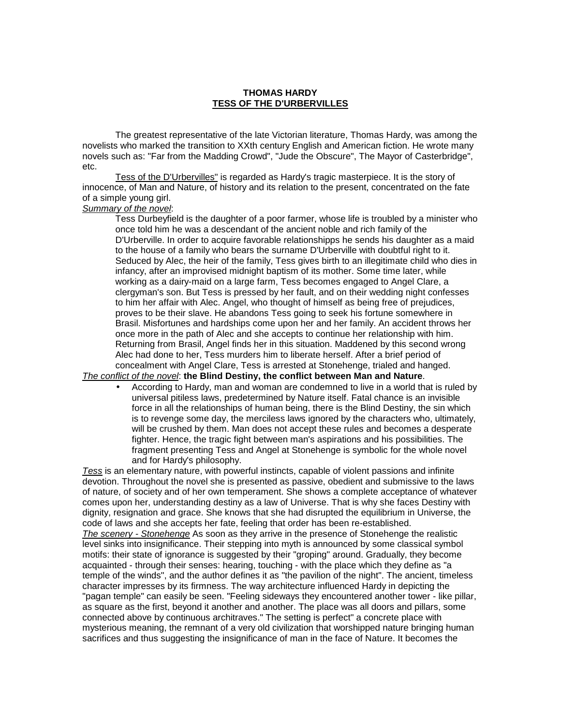## **THOMAS HARDY TESS OF THE D'URBERVILLES**

 The greatest representative of the late Victorian literature, Thomas Hardy, was among the novelists who marked the transition to XXth century English and American fiction. He wrote many novels such as: "Far from the Madding Crowd", "Jude the Obscure", The Mayor of Casterbridge", etc.

 Tess of the D'Urbervilles" is regarded as Hardy's tragic masterpiece. It is the story of innocence, of Man and Nature, of history and its relation to the present, concentrated on the fate of a simple young girl.

## Summary of the novel:

Tess Durbeyfield is the daughter of a poor farmer, whose life is troubled by a minister who once told him he was a descendant of the ancient noble and rich family of the D'Urberville. In order to acquire favorable relationshipps he sends his daughter as a maid to the house of a family who bears the surname D'Urberville with doubtful right to it. Seduced by Alec, the heir of the family, Tess gives birth to an illegitimate child who dies in infancy, after an improvised midnight baptism of its mother. Some time later, while working as a dairy-maid on a large farm, Tess becomes engaged to Angel Clare, a clergyman's son. But Tess is pressed by her fault, and on their wedding night confesses to him her affair with Alec. Angel, who thought of himself as being free of prejudices, proves to be their slave. He abandons Tess going to seek his fortune somewhere in Brasil. Misfortunes and hardships come upon her and her family. An accident throws her once more in the path of Alec and she accepts to continue her relationship with him. Returning from Brasil, Angel finds her in this situation. Maddened by this second wrong Alec had done to her, Tess murders him to liberate herself. After a brief period of concealment with Angel Clare, Tess is arrested at Stonehenge, trialed and hanged.

## The conflict of the novel: **the Blind Destiny, the conflict between Man and Nature**.

• According to Hardy, man and woman are condemned to live in a world that is ruled by universal pitiless laws, predetermined by Nature itself. Fatal chance is an invisible force in all the relationships of human being, there is the Blind Destiny, the sin which is to revenge some day, the merciless laws ignored by the characters who, ultimately, will be crushed by them. Man does not accept these rules and becomes a desperate fighter. Hence, the tragic fight between man's aspirations and his possibilities. The fragment presenting Tess and Angel at Stonehenge is symbolic for the whole novel and for Hardy's philosophy.

Tess is an elementary nature, with powerful instincts, capable of violent passions and infinite devotion. Throughout the novel she is presented as passive, obedient and submissive to the laws of nature, of society and of her own temperament. She shows a complete acceptance of whatever comes upon her, understanding destiny as a law of Universe. That is why she faces Destiny with dignity, resignation and grace. She knows that she had disrupted the equilibrium in Universe, the code of laws and she accepts her fate, feeling that order has been re-established.

The scenery - Stonehenge As soon as they arrive in the presence of Stonehenge the realistic level sinks into insignificance. Their stepping into myth is announced by some classical symbol motifs: their state of ignorance is suggested by their "groping" around. Gradually, they become acquainted - through their senses: hearing, touching - with the place which they define as "a temple of the winds", and the author defines it as "the pavilion of the night". The ancient, timeless character impresses by its firmness. The way architecture influenced Hardy in depicting the "pagan temple" can easily be seen. "Feeling sideways they encountered another tower - like pillar, as square as the first, beyond it another and another. The place was all doors and pillars, some connected above by continuous architraves." The setting is perfect" a concrete place with mysterious meaning, the remnant of a very old civilization that worshipped nature bringing human sacrifices and thus suggesting the insignificance of man in the face of Nature. It becomes the